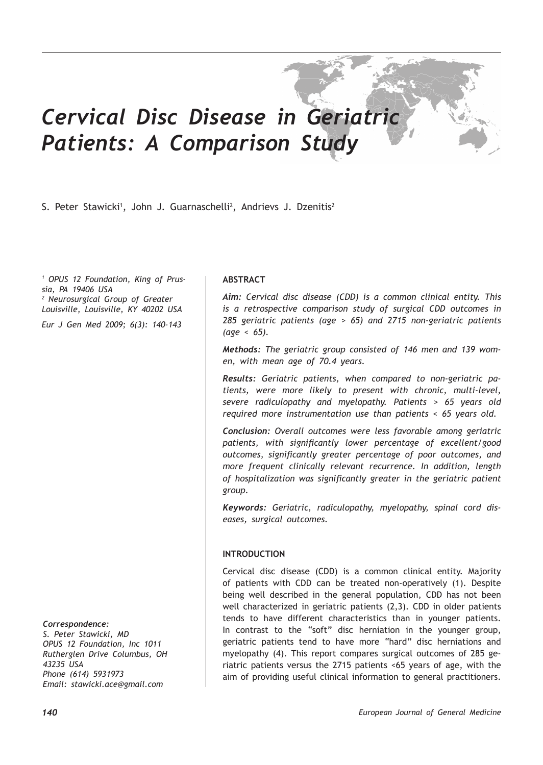# *Cervical Disc Disease in Geriatric Patients: A Comparison Study*

S. Peter Stawicki<sup>1</sup>, John J. Guarnaschelli<sup>2</sup>, Andrievs J. Dzenitis<sup>2</sup>

*1 OPUS 12 Foundation, King of Prussia, PA 19406 USA 2 Neurosurgical Group of Greater Louisville, Louisville, KY 40202 USA Eur J Gen Med 2009; 6(3): 140-143*

*Correspondence:*

*S. Peter Stawicki, MD OPUS 12 Foundation, Inc 1011 Rutherglen Drive Columbus, OH 43235 USA Phone (614) 5931973 Email: stawicki.ace@gmail.com*

# **ABSTRACT**

*Aim: Cervical disc disease (CDD) is a common clinical entity. This is a retrospective comparison study of surgical CDD outcomes in 285 geriatric patients (age > 65) and 2715 non-geriatric patients (age < 65).*

*Methods: The geriatric group consisted of 146 men and 139 women, with mean age of 70.4 years.*

*Results: Geriatric patients, when compared to non-geriatric patients, were more likely to present with chronic, multi-level, severe radiculopathy and myelopathy. Patients > 65 years old required more instrumentation use than patients < 65 years old.*

*Conclusion: Overall outcomes were less favorable among geriatric patients, with significantly lower percentage of excellent/good outcomes, significantly greater percentage of poor outcomes, and more frequent clinically relevant recurrence. In addition, length of hospitalization was significantly greater in the geriatric patient group.*

*Keywords: Geriatric, radiculopathy, myelopathy, spinal cord diseases, surgical outcomes.*

#### **INTRODUCTION**

Cervical disc disease (CDD) is a common clinical entity. Majority of patients with CDD can be treated non-operatively (1). Despite being well described in the general population, CDD has not been well characterized in geriatric patients (2,3). CDD in older patients tends to have different characteristics than in younger patients. In contrast to the "soft" disc herniation in the younger group, geriatric patients tend to have more "hard" disc herniations and myelopathy (4). This report compares surgical outcomes of 285 geriatric patients versus the 2715 patients <65 years of age, with the aim of providing useful clinical information to general practitioners.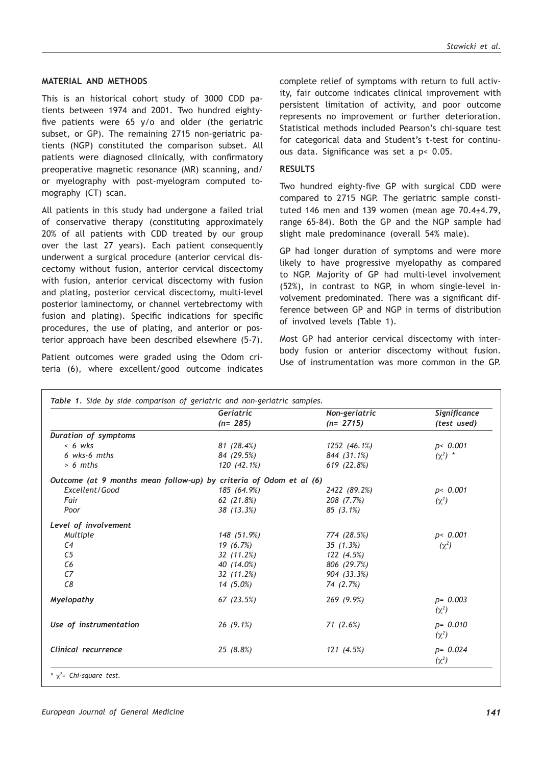### **MATERIAL AND METHODS**

This is an historical cohort study of 3000 CDD patients between 1974 and 2001. Two hundred eightyfive patients were 65 y/o and older (the geriatric subset, or GP). The remaining 2715 non-geriatric patients (NGP) constituted the comparison subset. All patients were diagnosed clinically, with confirmatory preoperative magnetic resonance (MR) scanning, and/ or myelography with post-myelogram computed tomography (CT) scan.

All patients in this study had undergone a failed trial of conservative therapy (constituting approximately 20% of all patients with CDD treated by our group over the last 27 years). Each patient consequently underwent a surgical procedure (anterior cervical discectomy without fusion, anterior cervical discectomy with fusion, anterior cervical discectomy with fusion and plating, posterior cervical discectomy, multi-level posterior laminectomy, or channel vertebrectomy with fusion and plating). Specific indications for specific procedures, the use of plating, and anterior or posterior approach have been described elsewhere (5-7).

Patient outcomes were graded using the Odom criteria (6), where excellent/good outcome indicates

complete relief of symptoms with return to full activity, fair outcome indicates clinical improvement with persistent limitation of activity, and poor outcome represents no improvement or further deterioration. Statistical methods included Pearson's chi-square test for categorical data and Student's t-test for continuous data. Significance was set a p< 0.05.

# **RESULTS**

Two hundred eighty-five GP with surgical CDD were compared to 2715 NGP. The geriatric sample constituted 146 men and 139 women (mean age  $70.4 \pm 4.79$ , range 65-84). Both the GP and the NGP sample had slight male predominance (overall 54% male).

GP had longer duration of symptoms and were more likely to have progressive myelopathy as compared to NGP. Majority of GP had multi-level involvement (52%), in contrast to NGP, in whom single-level involvement predominated. There was a significant difference between GP and NGP in terms of distribution of involved levels (Table 1).

Most GP had anterior cervical discectomy with interbody fusion or anterior discectomy without fusion. Use of instrumentation was more common in the GP.

|                                                                    | Geriatric   | Non-geriatric<br>$(n=2715)$ | Significance<br>(test used) |
|--------------------------------------------------------------------|-------------|-----------------------------|-----------------------------|
|                                                                    | $(n=285)$   |                             |                             |
| Duration of symptoms                                               |             |                             |                             |
| $< 6$ wks                                                          | 81(28.4%)   | 1252 (46.1%)                | p < 0.001                   |
| 6 wks-6 mths                                                       | 84 (29.5%)  | 844 (31.1%)                 | $(\chi^2)^*$                |
| $> 6$ mths                                                         | 120 (42.1%) | 619 (22.8%)                 |                             |
| Outcome (at 9 months mean follow-up) by criteria of Odom et al (6) |             |                             |                             |
| Excellent/Good                                                     | 185 (64.9%) | 2422 (89.2%)                | p < 0.001                   |
| Fair                                                               | 62(21.8%)   | 208 (7.7%)                  | $(\chi^2)$                  |
| Poor                                                               | 38(13.3%)   | $85(3.1\%)$                 |                             |
| Level of involvement                                               |             |                             |                             |
| Multiple                                                           | 148 (51.9%) | 774 (28.5%)                 | p < 0.001                   |
| C4                                                                 | 19(6.7%)    | 35(1.3%)                    | $(\chi^2)$                  |
| C <sub>5</sub>                                                     | 32(11.2%)   | 122 (4.5%)                  |                             |
| C <sub>6</sub>                                                     | 40 (14.0%)  | 806 (29.7%)                 |                             |
| C <sub>7</sub>                                                     | 32(11.2%)   | 904 (33.3%)                 |                             |
| C8                                                                 | $14(5.0\%)$ | 74 (2.7%)                   |                             |
| Myelopathy                                                         | 67(23.5%)   | 269 (9.9%)                  | $p = 0.003$<br>$(\chi^2)$   |
| Use of instrumentation                                             | $26(9.1\%)$ | 71(2.6%)                    | $p = 0.010$<br>$(\chi^2)$   |
| Clinical recurrence                                                | 25(8.8%)    | 121(4.5%)                   | $p = 0.024$<br>$(\chi^2)$   |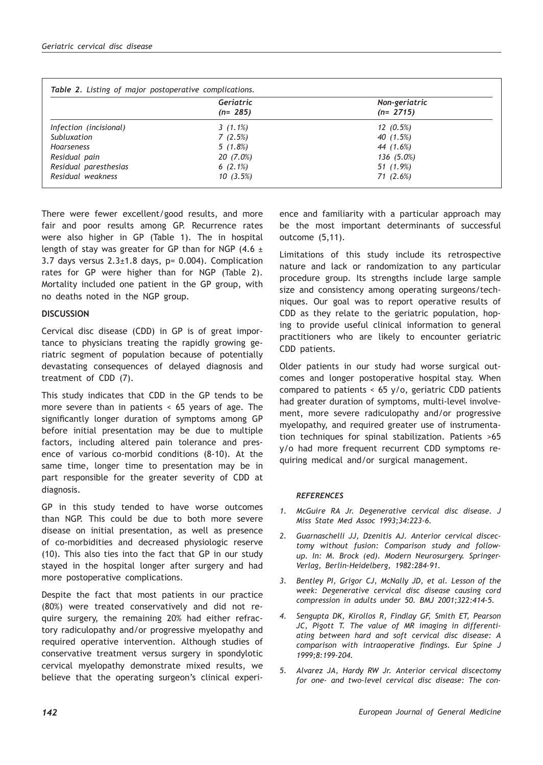|                        | Geriatric   | Non-geriatric<br>$(n=2715)$ |  |
|------------------------|-------------|-----------------------------|--|
|                        | $(n=285)$   |                             |  |
| Infection (incisional) | $3(1.1\%)$  | $12(0.5\%)$                 |  |
| Subluxation            | 7(2.5%)     | 40 (1.5%)                   |  |
| <b>Hoarseness</b>      | $5(1.8\%)$  | 44 (1.6%)                   |  |
| Residual pain          | $20(7.0\%)$ | 136 (5.0%)                  |  |
| Residual paresthesias  | $6(2.1\%)$  | 51 (1.9%)                   |  |
| Residual weakness      | 10(3.5%)    | 71(2.6%)                    |  |

There were fewer excellent/good results, and more fair and poor results among GP. Recurrence rates were also higher in GP (Table 1). The in hospital length of stay was greater for GP than for NGP (4.6  $\pm$ 3.7 days versus  $2.3 \pm 1.8$  days, p= 0.004). Complication rates for GP were higher than for NGP (Table 2). Mortality included one patient in the GP group, with no deaths noted in the NGP group.

## **DISCUSSION**

Cervical disc disease (CDD) in GP is of great importance to physicians treating the rapidly growing geriatric segment of population because of potentially devastating consequences of delayed diagnosis and treatment of CDD (7).

This study indicates that CDD in the GP tends to be more severe than in patients < 65 years of age. The significantly longer duration of symptoms among GP before initial presentation may be due to multiple factors, including altered pain tolerance and presence of various co-morbid conditions (8-10). At the same time, longer time to presentation may be in part responsible for the greater severity of CDD at diagnosis.

GP in this study tended to have worse outcomes than NGP. This could be due to both more severe disease on initial presentation, as well as presence of co-morbidities and decreased physiologic reserve (10). This also ties into the fact that GP in our study stayed in the hospital longer after surgery and had more postoperative complications.

Despite the fact that most patients in our practice (80%) were treated conservatively and did not require surgery, the remaining 20% had either refractory radiculopathy and/or progressive myelopathy and required operative intervention. Although studies of conservative treatment versus surgery in spondylotic cervical myelopathy demonstrate mixed results, we believe that the operating surgeon's clinical experience and familiarity with a particular approach may be the most important determinants of successful outcome (5,11).

Limitations of this study include its retrospective nature and lack or randomization to any particular procedure group. Its strengths include large sample size and consistency among operating surgeons/techniques. Our goal was to report operative results of CDD as they relate to the geriatric population, hoping to provide useful clinical information to general practitioners who are likely to encounter geriatric CDD patients.

Older patients in our study had worse surgical outcomes and longer postoperative hospital stay. When compared to patients  $\lt$  65 y/o, geriatric CDD patients had greater duration of symptoms, multi-level involvement, more severe radiculopathy and/or progressive myelopathy, and required greater use of instrumentation techniques for spinal stabilization. Patients >65 y/o had more frequent recurrent CDD symptoms requiring medical and/or surgical management.

#### *REFERENCES*

- *1. McGuire RA Jr. Degenerative cervical disc disease. J Miss State Med Assoc 1993;34:223-6.*
- *2. Guarnaschelli JJ, Dzenitis AJ. Anterior cervical discectomy without fusion: Comparison study and followup. In: M. Brock (ed). Modern Neurosurgery. Springer-Verlag, Berlin-Heidelberg, 1982:284-91.*
- *3. Bentley PI, Grigor CJ, McNally JD, et al. Lesson of the week: Degenerative cervical disc disease causing cord compression in adults under 50. BMJ 2001;322:414-5.*
- *4. Sengupta DK, Kirollos R, Findlay GF, Smith ET, Pearson JC, Pigott T. The value of MR imaging in differentiating between hard and soft cervical disc disease: A comparison with intraoperative findings. Eur Spine J 1999;8:199-204.*
- *5. Alvarez JA, Hardy RW Jr. Anterior cervical discectomy for one- and two-level cervical disc disease: The con-*